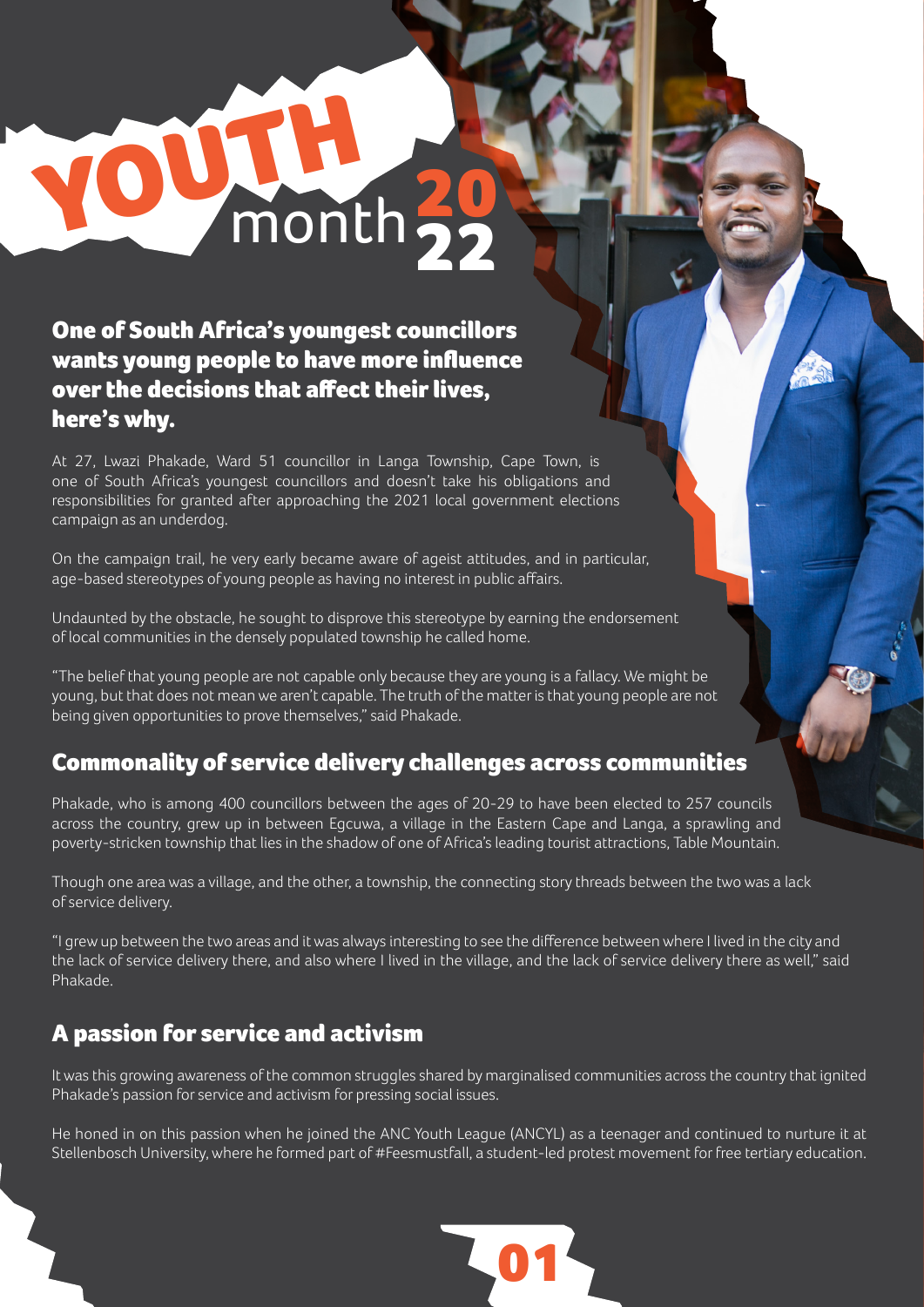# One of South Africa's youngest councillors wants young people to have more influence over the decisions that affect their lives, here's why.

YOUTH 20

At 27, Lwazi Phakade, Ward 51 councillor in Langa Township, Cape Town, is one of South Africa's youngest councillors and doesn't take his obligations and responsibilities for granted after approaching the 2021 local government elections campaign as an underdog.

On the campaign trail, he very early became aware of ageist attitudes, and in particular, age-based stereotypes of young people as having no interest in public affairs.

Undaunted by the obstacle, he sought to disprove this stereotype by earning the endorsement of local communities in the densely populated township he called home.

"The belief that young people are not capable only because they are young is a fallacy. We might be young, but that does not mean we aren't capable. The truth of the matter is that young people are not being given opportunities to prove themselves," said Phakade.

## Commonality of service delivery challenges across communities

Phakade, who is among 400 councillors between the ages of 20-29 to have been elected to 257 councils across the country, grew up in between Egcuwa, a village in the Eastern Cape and Langa, a sprawling and poverty-stricken township that lies in the shadow of one of Africa's leading tourist attractions, Table Mountain.

Though one area was a village, and the other, a township, the connecting story threads between the two was a lack of service delivery.

"I grew up between the two areas and it was always interesting to see the difference between where I lived in the city and the lack of service delivery there, and also where I lived in the village, and the lack of service delivery there as well," said Phakade.

22

## A passion for service and activism

It was this growing awareness of the common struggles shared by marginalised communities across the country that ignited Phakade's passion for service and activism for pressing social issues.

He honed in on this passion when he joined the ANC Youth League (ANCYL) as a teenager and continued to nurture it at Stellenbosch University, where he formed part of #Feesmustfall, a student-led protest movement for free tertiary education.